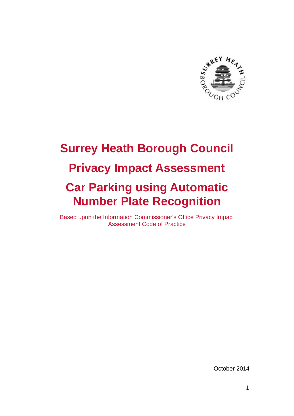

# **Surrey Heath Borough Council Privacy Impact Assessment Car Parking using Automatic Number Plate Recognition**

Based upon the Information Commissioner's Office Privacy Impact Assessment Code of Practice

October 2014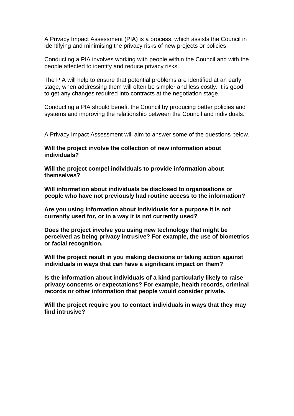A Privacy Impact Assessment (PIA) is a process, which assists the Council in identifying and minimising the privacy risks of new projects or policies.

Conducting a PIA involves working with people within the Council and with the people affected to identify and reduce privacy risks.

The PIA will help to ensure that potential problems are identified at an early stage, when addressing them will often be simpler and less costly. It is good to get any changes required into contracts at the negotiation stage.

Conducting a PIA should benefit the Council by producing better policies and systems and improving the relationship between the Council and individuals.

A Privacy Impact Assessment will aim to answer some of the questions below.

**Will the project involve the collection of new information about individuals?** 

**Will the project compel individuals to provide information about themselves?** 

**Will information about individuals be disclosed to organisations or people who have not previously had routine access to the information?** 

**Are you using information about individuals for a purpose it is not currently used for, or in a way it is not currently used?** 

**Does the project involve you using new technology that might be perceived as being privacy intrusive? For example, the use of biometrics or facial recognition.** 

**Will the project result in you making decisions or taking action against individuals in ways that can have a significant impact on them?** 

**Is the information about individuals of a kind particularly likely to raise privacy concerns or expectations? For example, health records, criminal records or other information that people would consider private.** 

**Will the project require you to contact individuals in ways that they may find intrusive?**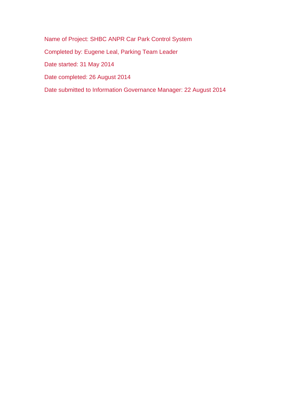Name of Project: SHBC ANPR Car Park Control System Completed by: Eugene Leal, Parking Team Leader Date started: 31 May 2014 Date completed: 26 August 2014 Date submitted to Information Governance Manager: 22 August 2014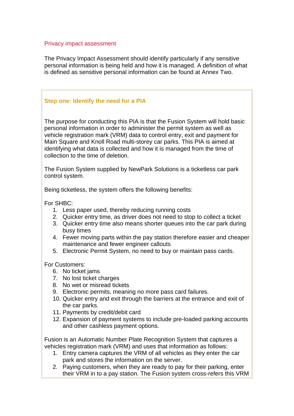#### Privacy impact assessment

The Privacy Impact Assessment should identify particularly if any sensitive personal information is being held and how it is managed. A definition of what is defined as sensitive personal information can be found at Annex Two.

#### **Step one: Identify the need for a PIA**

The purpose for conducting this PIA is that the Fusion System will hold basic personal information in order to administer the permit system as well as vehicle registration mark (VRM) data to control entry, exit and payment for Main Square and Knoll Road multi-storey car parks. This PIA is aimed at identifying what data is collected and how it is managed from the time of collection to the time of deletion.

The Fusion System supplied by NewPark Solutions is a ticketless car park control system.

Being ticketless, the system offers the following benefits:

For SHBC:

- 1. Less paper used, thereby reducing running costs
- 2. Quicker entry time, as driver does not need to stop to collect a ticket
- 3. Quicker entry time also means shorter queues into the car park during busy times
- 4. Fewer moving parts within the pay station therefore easier and cheaper maintenance and fewer engineer callouts
- 5. Electronic Permit System, no need to buy or maintain pass cards.

For Customers:

- 6. No ticket jams
- 7. No lost ticket charges
- 8. No wet or misread tickets
- 9. Electronic permits, meaning no more pass card failures.
- 10. Quicker entry and exit through the barriers at the entrance and exit of the car parks.
- 11. Payments by credit/debit card
- 12. Expansion of payment systems to include pre-loaded parking accounts and other cashless payment options.

Fusion is an Automatic Number Plate Recognition System that captures a vehicles registration mark (VRM) and uses that information as follows:

- 1. Entry camera captures the VRM of all vehicles as they enter the car park and stores the information on the server.
- 2. Paying customers, when they are ready to pay for their parking, enter their VRM in to a pay station. The Fusion system cross-refers this VRM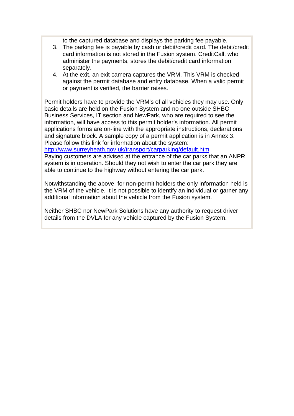to the captured database and displays the parking fee payable.

- 3. The parking fee is payable by cash or debit/credit card. The debit/credit card information is not stored in the Fusion system. CreditCall, who administer the payments, stores the debit/credit card information separately.
- 4. At the exit, an exit camera captures the VRM. This VRM is checked against the permit database and entry database. When a valid permit or payment is verified, the barrier raises.

Permit holders have to provide the VRM's of all vehicles they may use. Only basic details are held on the Fusion System and no one outside SHBC Business Services, IT section and NewPark, who are required to see the information, will have access to this permit holder's information. All permit applications forms are on-line with the appropriate instructions, declarations and signature block. A sample copy of a permit application is in Annex 3. Please follow this link for information about the system:

http://www.surreyheath.gov.uk/transport/carparking/default.htm

Paying customers are advised at the entrance of the car parks that an ANPR system is in operation. Should they not wish to enter the car park they are able to continue to the highway without entering the car park.

Notwithstanding the above, for non-permit holders the only information held is the VRM of the vehicle. It is not possible to identify an individual or garner any additional information about the vehicle from the Fusion system.

Neither SHBC nor NewPark Solutions have any authority to request driver details from the DVLA for any vehicle captured by the Fusion System.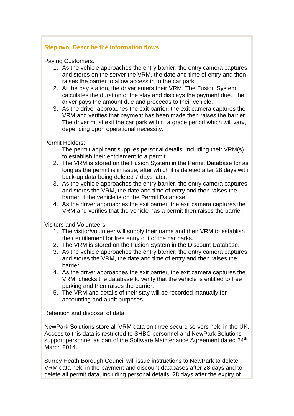#### **Step two: Describe the information flows**

Paying Customers:

- 1. As the vehicle approaches the entry barrier, the entry camera captures and stores on the server the VRM, the date and time of entry and then raises the barrier to allow access in to the car park.
- 2. At the pay station, the driver enters their VRM. The Fusion System calculates the duration of the stay and displays the payment due. The driver pays the amount due and proceeds to their vehicle.
- 3. As the driver approaches the exit barrier, the exit camera captures the VRM and verifies that payment has been made then raises the barrier. The driver must exit the car park within a grace period which will vary, depending upon operational necessity.

Permit Holders:

- 1. The permit applicant supplies personal details, including their VRM(s), to establish their entitlement to a permit.
- 2. The VRM is stored on the Fusion System in the Permit Database for as long as the permit is in issue, after which it is deleted after 28 days with back-up data being deleted 7 days later.
- 3. As the vehicle approaches the entry barrier, the entry camera captures and stores the VRM, the date and time of entry and then raises the barrier, if the vehicle is on the Permit Database.
- 4. As the driver approaches the exit barrier, the exit camera captures the VRM and verifies that the vehicle has a permit then raises the barrier.

Visitors and Volunteers

- 1. The visitor/volunteer will supply their name and their VRM to establish their entitlement for free entry out of the car parks.
- 2. The VRM is stored on the Fusion System in the Discount Database.
- 3. As the vehicle approaches the entry barrier, the entry camera captures and stores the VRM, the date and time of entry and then raises the barrier.
- 4. As the driver approaches the exit barrier, the exit camera captures the VRM, checks the database to verify that the vehicle is entitled to free parking and then raises the barrier.
- 5. The VRM and details of their stay will be recorded manually for accounting and audit purposes.

Retention and disposal of data

NewPark Solutions store all VRM data on three secure servers held in the UK. Access to this data is restricted to SHBC personnel and NewPark Solutions support personnel as part of the Software Maintenance Agreement dated 24<sup>th</sup> March 2014.

Surrey Heath Borough Council will issue instructions to NewPark to delete VRM data held in the payment and discount databases after 28 days and to delete all permit data, including personal details, 28 days after the expiry of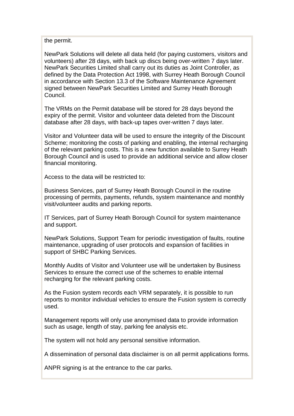the permit.

NewPark Solutions will delete all data held (for paying customers, visitors and volunteers) after 28 days, with back up discs being over-written 7 days later. NewPark Securities Limited shall carry out its duties as Joint Controller, as defined by the Data Protection Act 1998, with Surrey Heath Borough Council in accordance with Section 13.3 of the Software Maintenance Agreement signed between NewPark Securities Limited and Surrey Heath Borough Council.

The VRMs on the Permit database will be stored for 28 days beyond the expiry of the permit. Visitor and volunteer data deleted from the Discount database after 28 days, with back-up tapes over-written 7 days later.

Visitor and Volunteer data will be used to ensure the integrity of the Discount Scheme; monitoring the costs of parking and enabling, the internal recharging of the relevant parking costs. This is a new function available to Surrey Heath Borough Council and is used to provide an additional service and allow closer financial monitoring.

Access to the data will be restricted to:

Business Services, part of Surrey Heath Borough Council in the routine processing of permits, payments, refunds, system maintenance and monthly visit/volunteer audits and parking reports.

IT Services, part of Surrey Heath Borough Council for system maintenance and support.

NewPark Solutions, Support Team for periodic investigation of faults, routine maintenance, upgrading of user protocols and expansion of facilities in support of SHBC Parking Services.

Monthly Audits of Visitor and Volunteer use will be undertaken by Business Services to ensure the correct use of the schemes to enable internal recharging for the relevant parking costs.

As the Fusion system records each VRM separately, it is possible to run reports to monitor individual vehicles to ensure the Fusion system is correctly used.

Management reports will only use anonymised data to provide information such as usage, length of stay, parking fee analysis etc.

The system will not hold any personal sensitive information.

A dissemination of personal data disclaimer is on all permit applications forms.

ANPR signing is at the entrance to the car parks.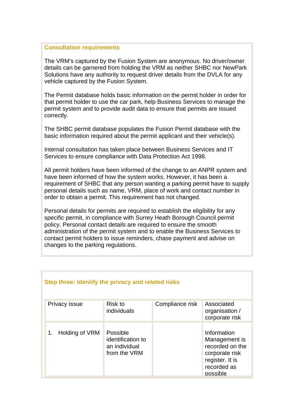#### **Consultation requirements**

The VRM's captured by the Fusion System are anonymous. No driver/owner details can be garnered from holding the VRM as neither SHBC nor NewPark Solutions have any authority to request driver details from the DVLA for any vehicle captured by the Fusion System.

The Permit database holds basic information on the permit holder in order for that permit holder to use the car park, help Business Services to manage the permit system and to provide audit data to ensure that permits are issued correctly.

The SHBC permit database populates the Fusion Permit database with the basic information required about the permit applicant and their vehicle(s).

Internal consultation has taken place between Business Services and IT Services to ensure compliance with Data Protection Act 1998.

All permit holders have been informed of the change to an ANPR system and have been informed of how the system works. However, it has been a requirement of SHBC that any person wanting a parking permit have to supply personal details such as name, VRM, place of work and contact number in order to obtain a permit. This requirement has not changed.

Personal details for permits are required to establish the eligibility for any specific permit, in compliance with Surrey Heath Borough Council permit policy. Personal contact details are required to ensure the smooth administration of the permit system and to enable the Business Services to contact permit holders to issue reminders, chase payment and advise on changes to the parking regulations.

| Step three: Identify the privacy and related risks |                                                                |                 |                                                                                                                 |
|----------------------------------------------------|----------------------------------------------------------------|-----------------|-----------------------------------------------------------------------------------------------------------------|
| Privacy issue                                      | Risk to<br>individuals                                         | Compliance risk | Associated<br>organisation /<br>corporate risk                                                                  |
| Holding of VRM                                     | Possible<br>identification to<br>an individual<br>from the VRM |                 | Information<br>Management is<br>recorded on the<br>corporate risk<br>register. It is<br>recorded as<br>possible |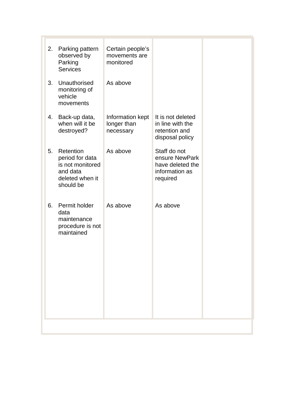| 6. | Permit holder<br>data<br>maintenance<br>procedure is not<br>maintained                       | As above                                       | As above                                                                         |  |
|----|----------------------------------------------------------------------------------------------|------------------------------------------------|----------------------------------------------------------------------------------|--|
| 5. | Retention<br>period for data<br>is not monitored<br>and data<br>deleted when it<br>should be | As above                                       | Staff do not<br>ensure NewPark<br>have deleted the<br>information as<br>required |  |
| 4. | Back-up data,<br>when will it be<br>destroyed?                                               | Information kept<br>longer than<br>necessary   | It is not deleted<br>in line with the<br>retention and<br>disposal policy        |  |
| 3. | Unauthorised<br>monitoring of<br>vehicle<br>movements                                        | As above                                       |                                                                                  |  |
| 2. | Parking pattern<br>observed by<br>Parking<br><b>Services</b>                                 | Certain people's<br>movements are<br>monitored |                                                                                  |  |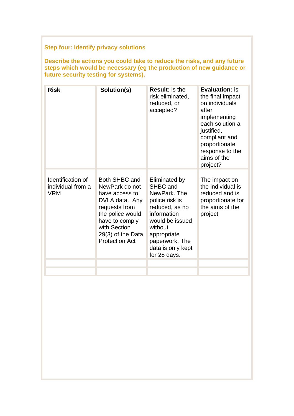# **Step four: Identify privacy solutions**

**Describe the actions you could take to reduce the risks, and any future steps which would be necessary (eg the production of new guidance or future security testing for systems).** 

| <b>Risk</b>                                          | Solution(s)                                                                                                                                                                                | <b>Result:</b> is the<br>risk eliminated,<br>reduced, or<br>accepted?                                                                                                                            | <b>Evaluation: is</b><br>the final impact<br>on individuals<br>after<br>implementing<br>each solution a<br>justified,<br>compliant and<br>proportionate<br>response to the<br>aims of the<br>project? |
|------------------------------------------------------|--------------------------------------------------------------------------------------------------------------------------------------------------------------------------------------------|--------------------------------------------------------------------------------------------------------------------------------------------------------------------------------------------------|-------------------------------------------------------------------------------------------------------------------------------------------------------------------------------------------------------|
| Identification of<br>individual from a<br><b>VRM</b> | Both SHBC and<br>NewPark do not<br>have access to<br>DVLA data. Any<br>requests from<br>the police would<br>have to comply<br>with Section<br>$29(3)$ of the Data<br><b>Protection Act</b> | Eliminated by<br>SHBC and<br>NewPark, The<br>police risk is<br>reduced, as no<br>information<br>would be issued<br>without<br>appropriate<br>paperwork. The<br>data is only kept<br>for 28 days. | The impact on<br>the individual is<br>reduced and is<br>proportionate for<br>the aims of the<br>project                                                                                               |
|                                                      |                                                                                                                                                                                            |                                                                                                                                                                                                  |                                                                                                                                                                                                       |
|                                                      |                                                                                                                                                                                            |                                                                                                                                                                                                  |                                                                                                                                                                                                       |
|                                                      |                                                                                                                                                                                            |                                                                                                                                                                                                  |                                                                                                                                                                                                       |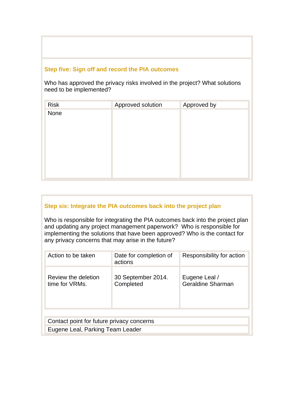#### **Step five: Sign off and record the PIA outcomes**

Who has approved the privacy risks involved in the project? What solutions need to be implemented?

| <b>Risk</b> | Approved solution | Approved by |
|-------------|-------------------|-------------|
| None        |                   |             |
|             |                   |             |
|             |                   |             |
|             |                   |             |
|             |                   |             |
|             |                   |             |
|             |                   |             |
|             |                   |             |

#### **Step six: Integrate the PIA outcomes back into the project plan**

Who is responsible for integrating the PIA outcomes back into the project plan and updating any project management paperwork? Who is responsible for implementing the solutions that have been approved? Who is the contact for any privacy concerns that may arise in the future?

| Action to be taken                        | Date for completion of<br>actions | Responsibility for action          |
|-------------------------------------------|-----------------------------------|------------------------------------|
| Review the deletion<br>time for VRMs.     | 30 September 2014.<br>Completed   | Eugene Leal /<br>Geraldine Sharman |
|                                           |                                   |                                    |
| Contact point for future privacy concerns |                                   |                                    |
| Eugene Leal, Parking Team Leader          |                                   |                                    |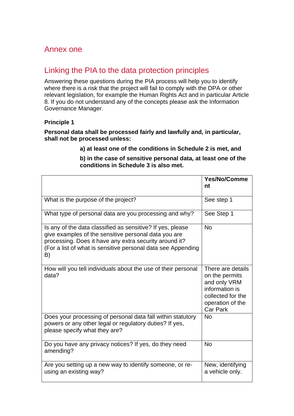# Annex one

# Linking the PIA to the data protection principles

Answering these questions during the PIA process will help you to identify where there is a risk that the project will fail to comply with the DPA or other relevant legislation, for example the Human Rights Act and in particular Article 8. If you do not understand any of the concepts please ask the Information Governance Manager.

#### **Principle 1**

#### **Personal data shall be processed fairly and lawfully and, in particular, shall not be processed unless:**

#### **a) at least one of the conditions in Schedule 2 is met, and**

|                                                                                                                                                                                                                                                    | <b>Yes/No/Comme</b><br>nt                                                                                                         |
|----------------------------------------------------------------------------------------------------------------------------------------------------------------------------------------------------------------------------------------------------|-----------------------------------------------------------------------------------------------------------------------------------|
| What is the purpose of the project?                                                                                                                                                                                                                | See step 1                                                                                                                        |
| What type of personal data are you processing and why?                                                                                                                                                                                             | See Step 1                                                                                                                        |
| Is any of the data classified as sensitive? If yes, please<br>give examples of the sensitive personal data you are<br>processing. Does it have any extra security around it?<br>(For a list of what is sensitive personal data see Appending<br>B) | <b>No</b>                                                                                                                         |
| How will you tell individuals about the use of their personal<br>data?                                                                                                                                                                             | There are details<br>on the permits<br>and only VRM<br>information is<br>collected for the<br>operation of the<br><b>Car Park</b> |
| Does your processing of personal data fall within statutory<br>powers or any other legal or regulatory duties? If yes,<br>please specify what they are?                                                                                            | <b>No</b>                                                                                                                         |
| Do you have any privacy notices? If yes, do they need<br>amending?                                                                                                                                                                                 | <b>No</b>                                                                                                                         |
| Are you setting up a new way to identify someone, or re-<br>using an existing way?                                                                                                                                                                 | New, identifying<br>a vehicle only.                                                                                               |

**b) in the case of sensitive personal data, at least one of the conditions in Schedule 3 is also met.**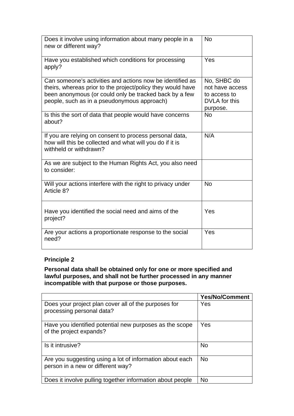| Does it involve using information about many people in a<br>new or different way?                                                                                                                                                 | <b>No</b>                                                                   |
|-----------------------------------------------------------------------------------------------------------------------------------------------------------------------------------------------------------------------------------|-----------------------------------------------------------------------------|
| Have you established which conditions for processing<br>apply?                                                                                                                                                                    | Yes                                                                         |
| Can someone's activities and actions now be identified as<br>theirs, whereas prior to the project/policy they would have<br>been anonymous (or could only be tracked back by a few<br>people, such as in a pseudonymous approach) | No, SHBC do<br>not have access<br>to access to<br>DVLA for this<br>purpose. |
| Is this the sort of data that people would have concerns<br>about?                                                                                                                                                                | <b>No</b>                                                                   |
| If you are relying on consent to process personal data,<br>how will this be collected and what will you do if it is<br>withheld or withdrawn?                                                                                     | N/A                                                                         |
| As we are subject to the Human Rights Act, you also need<br>to consider:                                                                                                                                                          |                                                                             |
| Will your actions interfere with the right to privacy under<br>Article 8?                                                                                                                                                         | <b>No</b>                                                                   |
| Have you identified the social need and aims of the<br>project?                                                                                                                                                                   | Yes                                                                         |
| Are your actions a proportionate response to the social<br>need?                                                                                                                                                                  | Yes                                                                         |

**Personal data shall be obtained only for one or more specified and lawful purposes, and shall not be further processed in any manner incompatible with that purpose or those purposes.** 

|                                                                                               | <b>Yes/No/Comment</b> |
|-----------------------------------------------------------------------------------------------|-----------------------|
| Does your project plan cover all of the purposes for<br>processing personal data?             | Yes                   |
| Have you identified potential new purposes as the scope<br>of the project expands?            | Yes                   |
| Is it intrusive?                                                                              | <b>No</b>             |
| Are you suggesting using a lot of information about each<br>person in a new or different way? | <b>No</b>             |
| Does it involve pulling together information about people                                     | <b>No</b>             |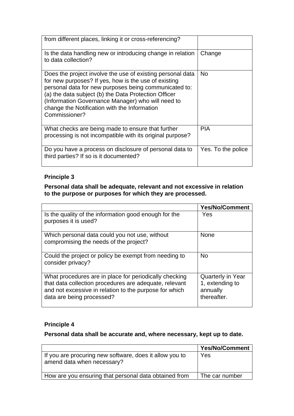| from different places, linking it or cross-referencing?                                                                                                                                                                                                                                                                                                   |                    |
|-----------------------------------------------------------------------------------------------------------------------------------------------------------------------------------------------------------------------------------------------------------------------------------------------------------------------------------------------------------|--------------------|
| Is the data handling new or introducing change in relation<br>to data collection?                                                                                                                                                                                                                                                                         | Change             |
| Does the project involve the use of existing personal data<br>for new purposes? If yes, how is the use of existing<br>personal data for new purposes being communicated to:<br>(a) the data subject (b) the Data Protection Officer<br>(Information Governance Manager) who will need to<br>change the Notification with the Information<br>Commissioner? | No.                |
| What checks are being made to ensure that further<br>processing is not incompatible with its original purpose?                                                                                                                                                                                                                                            | <b>PIA</b>         |
| Do you have a process on disclosure of personal data to<br>third parties? If so is it documented?                                                                                                                                                                                                                                                         | Yes. To the police |

#### **Personal data shall be adequate, relevant and not excessive in relation to the purpose or purposes for which they are processed.**

|                                                                                                                                                                                                         | <b>Yes/No/Comment</b>                                                  |
|---------------------------------------------------------------------------------------------------------------------------------------------------------------------------------------------------------|------------------------------------------------------------------------|
| Is the quality of the information good enough for the<br>purposes it is used?                                                                                                                           | Yes                                                                    |
| Which personal data could you not use, without<br>compromising the needs of the project?                                                                                                                | <b>None</b>                                                            |
| Could the project or policy be exempt from needing to<br>consider privacy?                                                                                                                              | <b>No</b>                                                              |
| What procedures are in place for periodically checking<br>that data collection procedures are adequate, relevant<br>and not excessive in relation to the purpose for which<br>data are being processed? | <b>Quarterly in Year</b><br>1, extending to<br>annually<br>thereafter. |

# **Principle 4**

# **Personal data shall be accurate and, where necessary, kept up to date.**

|                                                                                       | <b>Yes/No/Comment</b> |
|---------------------------------------------------------------------------------------|-----------------------|
| If you are procuring new software, does it allow you to<br>amend data when necessary? | Yes                   |
| How are you ensuring that personal data obtained from                                 | The car number        |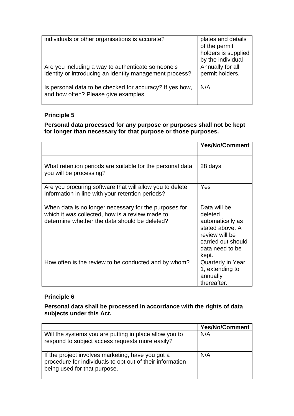| individuals or other organisations is accurate?                                                              | plates and details<br>of the permit<br>holders is supplied<br>by the individual |
|--------------------------------------------------------------------------------------------------------------|---------------------------------------------------------------------------------|
| Are you including a way to authenticate someone's<br>identity or introducing an identity management process? | Annually for all<br>permit holders.                                             |
| Is personal data to be checked for accuracy? If yes how,<br>and how often? Please give examples.             | N/A                                                                             |

## **Personal data processed for any purpose or purposes shall not be kept for longer than necessary for that purpose or those purposes.**

|                                                                                                                                                           | <b>Yes/No/Comment</b>                                                                                                              |
|-----------------------------------------------------------------------------------------------------------------------------------------------------------|------------------------------------------------------------------------------------------------------------------------------------|
| What retention periods are suitable for the personal data<br>you will be processing?                                                                      | 28 days                                                                                                                            |
| Are you procuring software that will allow you to delete<br>information in line with your retention periods?                                              | Yes                                                                                                                                |
| When data is no longer necessary for the purposes for<br>which it was collected, how is a review made to<br>determine whether the data should be deleted? | Data will be<br>deleted<br>automatically as<br>stated above. A<br>review will be<br>carried out should<br>data need to be<br>kept. |
| How often is the review to be conducted and by whom?                                                                                                      | <b>Quarterly in Year</b><br>1, extending to<br>annually<br>thereafter.                                                             |

# **Principle 6**

#### **Personal data shall be processed in accordance with the rights of data subjects under this Act.**

|                                                                                                                                                | <b>Yes/No/Comment</b> |
|------------------------------------------------------------------------------------------------------------------------------------------------|-----------------------|
| Will the systems you are putting in place allow you to<br>respond to subject access requests more easily?                                      | N/A                   |
| If the project involves marketing, have you got a<br>procedure for individuals to opt out of their information<br>being used for that purpose. | N/A                   |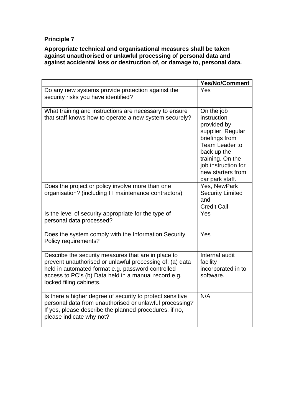**Appropriate technical and organisational measures shall be taken against unauthorised or unlawful processing of personal data and against accidental loss or destruction of, or damage to, personal data.** 

|                                                                                                                                                                                                                                                         | <b>Yes/No/Comment</b>                                                                                                                                                                               |
|---------------------------------------------------------------------------------------------------------------------------------------------------------------------------------------------------------------------------------------------------------|-----------------------------------------------------------------------------------------------------------------------------------------------------------------------------------------------------|
| Do any new systems provide protection against the<br>security risks you have identified?                                                                                                                                                                | Yes                                                                                                                                                                                                 |
| What training and instructions are necessary to ensure<br>that staff knows how to operate a new system securely?                                                                                                                                        | On the job<br>instruction<br>provided by<br>supplier. Regular<br>briefings from<br>Team Leader to<br>back up the<br>training. On the<br>job instruction for<br>new starters from<br>car park staff. |
| Does the project or policy involve more than one<br>organisation? (including IT maintenance contractors)                                                                                                                                                | Yes, NewPark<br><b>Security Limited</b><br>and<br><b>Credit Call</b>                                                                                                                                |
| Is the level of security appropriate for the type of<br>personal data processed?                                                                                                                                                                        | Yes                                                                                                                                                                                                 |
| Does the system comply with the Information Security<br>Policy requirements?                                                                                                                                                                            | Yes                                                                                                                                                                                                 |
| Describe the security measures that are in place to<br>prevent unauthorised or unlawful processing of: (a) data<br>held in automated format e.g. password controlled<br>access to PC's (b) Data held in a manual record e.g.<br>locked filing cabinets. | Internal audit<br>facility<br>incorporated in to<br>software.                                                                                                                                       |
| Is there a higher degree of security to protect sensitive<br>personal data from unauthorised or unlawful processing?<br>If yes, please describe the planned procedures, if no,<br>please indicate why not?                                              | N/A                                                                                                                                                                                                 |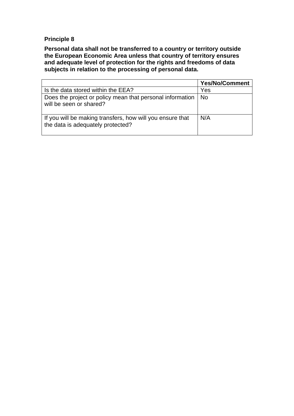**Personal data shall not be transferred to a country or territory outside the European Economic Area unless that country of territory ensures and adequate level of protection for the rights and freedoms of data subjects in relation to the processing of personal data.** 

|                                                                                                | <b>Yes/No/Comment</b> |
|------------------------------------------------------------------------------------------------|-----------------------|
| Is the data stored within the EEA?                                                             | Yes                   |
| Does the project or policy mean that personal information   No<br>will be seen or shared?      |                       |
| If you will be making transfers, how will you ensure that<br>the data is adequately protected? | N/A                   |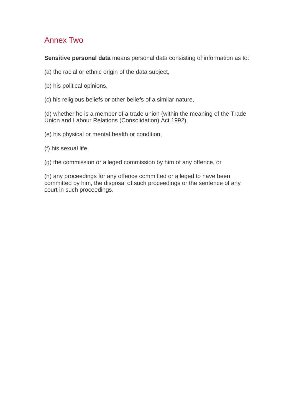# Annex Two

**Sensitive personal data** means personal data consisting of information as to:

(a) the racial or ethnic origin of the data subject,

- (b) his political opinions,
- (c) his religious beliefs or other beliefs of a similar nature,

(d) whether he is a member of a trade union (within the meaning of the Trade Union and Labour Relations (Consolidation) Act 1992),

- (e) his physical or mental health or condition,
- (f) his sexual life,
- (g) the commission or alleged commission by him of any offence, or

(h) any proceedings for any offence committed or alleged to have been committed by him, the disposal of such proceedings or the sentence of any court in such proceedings.